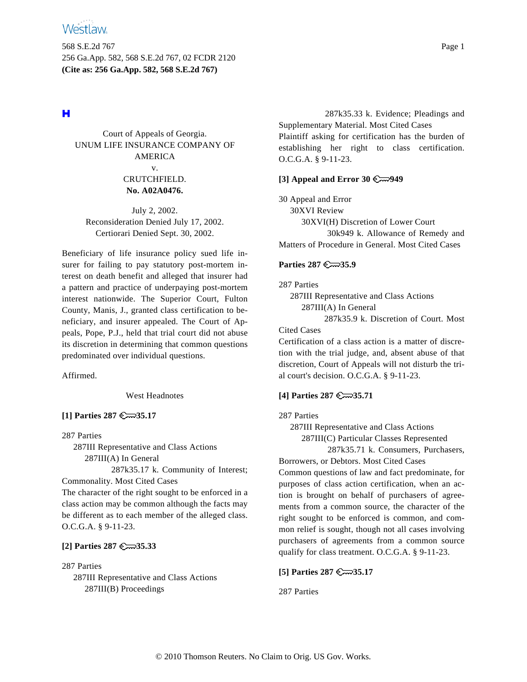568 S.E.2d 767 Page 1 256 Ga.App. 582, 568 S.E.2d 767, 02 FCDR 2120 **(Cite as: 256 Ga.App. 582, 568 S.E.2d 767)**

# н

Court of Appeals of Georgia. UNUM LIFE INSURANCE COMPANY OF AMERICA v.

# CRUTCHFIELD. **No. A02A0476.**

July 2, 2002. Reconsideration Denied July 17, 2002. Certiorari Denied Sept. 30, 2002.

Beneficiary of life insurance policy sued life insurer for failing to pay statutory post-mortem interest on death benefit and alleged that insurer had a pattern and practice of underpaying post-mortem interest nationwide. The Superior Court, Fulton County, Manis, J., granted class certification to beneficiary, and insurer appealed. The Court of Appeals, Pope, P.J., held that trial court did not abuse its discretion in determining that common questions predominated over individual questions.

Affirmed.

West Headnotes

# **[1] Parties 287 35.17**

287 Parties

287III Representative and Class Actions 287III(A) In General

287k35.17 k. Community of Interest; Commonality. Most Cited Cases

The character of the right sought to be enforced in a class action may be common although the facts may be different as to each member of the alleged class. O.C.G.A. § 9-11-23.

# **[2] Parties 287 35.33**

287 Parties 287III Representative and Class Actions 287III(B) Proceedings

287k35.33 k. Evidence; Pleadings and Supplementary Material. Most Cited Cases Plaintiff asking for certification has the burden of establishing her right to class certification. O.C.G.A. § 9-11-23.

## **[3] Appeal and Error 30 949**

30 Appeal and Error 30XVI Review 30XVI(H) Discretion of Lower Court 30k949 k. Allowance of Remedy and Matters of Procedure in General. Most Cited Cases

## **Parties 287 35.9**

287 Parties

287III Representative and Class Actions 287III(A) In General

287k35.9 k. Discretion of Court. Most Cited Cases

Certification of a class action is a matter of discretion with the trial judge, and, absent abuse of that discretion, Court of Appeals will not disturb the trial court's decision. O.C.G.A. § 9-11-23.

# **[4] Parties 287 35.71**

## 287 Parties

287III Representative and Class Actions

287III(C) Particular Classes Represented

287k35.71 k. Consumers, Purchasers, Borrowers, or Debtors. Most Cited Cases Common questions of law and fact predominate, for purposes of class action certification, when an action is brought on behalf of purchasers of agreements from a common source, the character of the right sought to be enforced is common, and common relief is sought, though not all cases involving purchasers of agreements from a common source qualify for class treatment. O.C.G.A. § 9-11-23.

## **[5] Parties 287 35.17**

287 Parties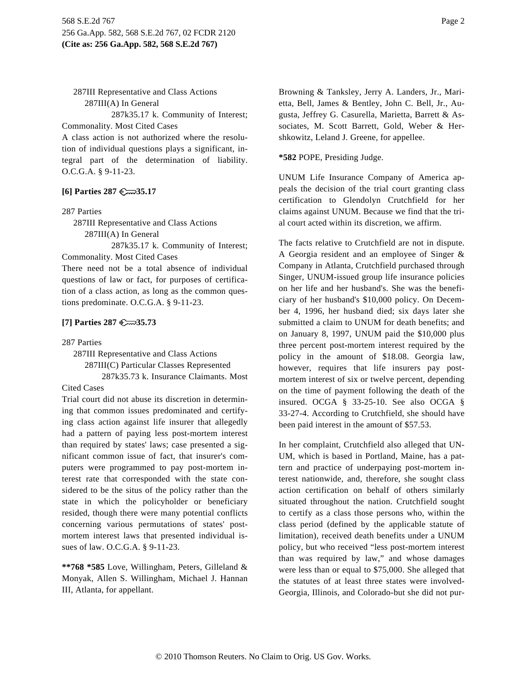287III Representative and Class Actions 287III(A) In General

287k35.17 k. Community of Interest; Commonality. Most Cited Cases

A class action is not authorized where the resolution of individual questions plays a significant, integral part of the determination of liability. O.C.G.A. § 9-11-23.

## **[6] Parties 287 35.17**

287 Parties

287III Representative and Class Actions 287III(A) In General

287k35.17 k. Community of Interest; Commonality. Most Cited Cases

There need not be a total absence of individual questions of law or fact, for purposes of certification of a class action, as long as the common questions predominate. O.C.G.A. § 9-11-23.

## **[7] Parties 287 35.73**

#### 287 Parties

287III Representative and Class Actions 287III(C) Particular Classes Represented 287k35.73 k. Insurance Claimants. Most

## Cited Cases

Trial court did not abuse its discretion in determining that common issues predominated and certifying class action against life insurer that allegedly had a pattern of paying less post-mortem interest than required by states' laws; case presented a significant common issue of fact, that insurer's computers were programmed to pay post-mortem interest rate that corresponded with the state considered to be the situs of the policy rather than the state in which the policyholder or beneficiary resided, though there were many potential conflicts concerning various permutations of states' postmortem interest laws that presented individual issues of law. O.C.G.A. § 9-11-23.

**\*\*768 \*585** Love, Willingham, Peters, Gilleland & Monyak, Allen S. Willingham, Michael J. Hannan III, Atlanta, for appellant.

Browning & Tanksley, Jerry A. Landers, Jr., Marietta, Bell, James & Bentley, John C. Bell, Jr., Augusta, Jeffrey G. Casurella, Marietta, Barrett & Associates, M. Scott Barrett, Gold, Weber & Hershkowitz, Leland J. Greene, for appellee.

#### **\*582** POPE, Presiding Judge.

UNUM Life Insurance Company of America appeals the decision of the trial court granting class certification to Glendolyn Crutchfield for her claims against UNUM. Because we find that the trial court acted within its discretion, we affirm.

The facts relative to Crutchfield are not in dispute. A Georgia resident and an employee of Singer & Company in Atlanta, Crutchfield purchased through Singer, UNUM-issued group life insurance policies on her life and her husband's. She was the beneficiary of her husband's \$10,000 policy. On December 4, 1996, her husband died; six days later she submitted a claim to UNUM for death benefits; and on January 8, 1997, UNUM paid the \$10,000 plus three percent post-mortem interest required by the policy in the amount of \$18.08. Georgia law, however, requires that life insurers pay postmortem interest of six or twelve percent, depending on the time of payment following the death of the insured. OCGA § 33-25-10. See also OCGA § 33-27-4. According to Crutchfield, she should have been paid interest in the amount of \$57.53.

In her complaint, Crutchfield also alleged that UN-UM, which is based in Portland, Maine, has a pattern and practice of underpaying post-mortem interest nationwide, and, therefore, she sought class action certification on behalf of others similarly situated throughout the nation. Crutchfield sought to certify as a class those persons who, within the class period (defined by the applicable statute of limitation), received death benefits under a UNUM policy, but who received "less post-mortem interest than was required by law," and whose damages were less than or equal to \$75,000. She alleged that the statutes of at least three states were involved-Georgia, Illinois, and Colorado-but she did not pur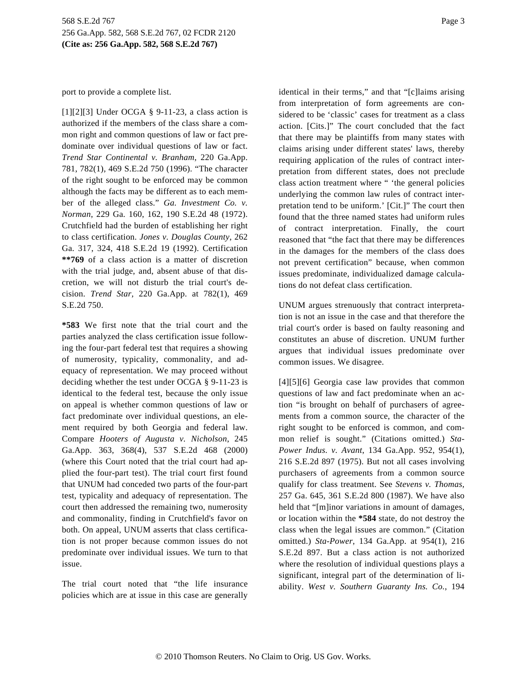port to provide a complete list.

[1][2][3] Under OCGA  $\S$  9-11-23, a class action is authorized if the members of the class share a common right and common questions of law or fact predominate over individual questions of law or fact. *Trend Star Continental v. Branham*, 220 Ga.App. 781, 782(1), 469 S.E.2d 750 (1996). "The character of the right sought to be enforced may be common although the facts may be different as to each member of the alleged class." *Ga. Investment Co. v. Norman*, 229 Ga. 160, 162, 190 S.E.2d 48 (1972). Crutchfield had the burden of establishing her right to class certification. *Jones v. Douglas County*, 262 Ga. 317, 324, 418 S.E.2d 19 (1992). Certification **\*\*769** of a class action is a matter of discretion with the trial judge, and, absent abuse of that discretion, we will not disturb the trial court's decision. *Trend Star,* 220 Ga.App. at 782(1), 469 S.E.2d 750.

**\*583** We first note that the trial court and the parties analyzed the class certification issue following the four-part federal test that requires a showing of numerosity, typicality, commonality, and adequacy of representation. We may proceed without deciding whether the test under OCGA § 9-11-23 is identical to the federal test, because the only issue on appeal is whether common questions of law or fact predominate over individual questions, an element required by both Georgia and federal law. Compare *Hooters of Augusta v. Nicholson*, 245 Ga.App. 363, 368(4), 537 S.E.2d 468 (2000) (where this Court noted that the trial court had applied the four-part test). The trial court first found that UNUM had conceded two parts of the four-part test, typicality and adequacy of representation. The court then addressed the remaining two, numerosity and commonality, finding in Crutchfield's favor on both. On appeal, UNUM asserts that class certification is not proper because common issues do not predominate over individual issues. We turn to that issue.

The trial court noted that "the life insurance policies which are at issue in this case are generally identical in their terms," and that "[c]laims arising from interpretation of form agreements are considered to be 'classic' cases for treatment as a class action. [Cits.]" The court concluded that the fact that there may be plaintiffs from many states with claims arising under different states' laws, thereby requiring application of the rules of contract interpretation from different states, does not preclude class action treatment where " 'the general policies underlying the common law rules of contract interpretation tend to be uniform.' [Cit.]" The court then found that the three named states had uniform rules of contract interpretation. Finally, the court reasoned that "the fact that there may be differences in the damages for the members of the class does not prevent certification" because, when common issues predominate, individualized damage calculations do not defeat class certification.

UNUM argues strenuously that contract interpretation is not an issue in the case and that therefore the trial court's order is based on faulty reasoning and constitutes an abuse of discretion. UNUM further argues that individual issues predominate over common issues. We disagree.

[4][5][6] Georgia case law provides that common questions of law and fact predominate when an action "is brought on behalf of purchasers of agreements from a common source, the character of the right sought to be enforced is common, and common relief is sought." (Citations omitted.) *Sta-Power Indus. v. Avant*, 134 Ga.App. 952, 954(1), 216 S.E.2d 897 (1975). But not all cases involving purchasers of agreements from a common source qualify for class treatment. See *Stevens v. Thomas,* 257 Ga. 645, 361 S.E.2d 800 (1987). We have also held that "[m]inor variations in amount of damages, or location within the **\*584** state, do not destroy the class when the legal issues are common." (Citation omitted.) *Sta-Power*, 134 Ga.App. at 954(1), 216 S.E.2d 897. But a class action is not authorized where the resolution of individual questions plays a significant, integral part of the determination of liability. *West v. Southern Guaranty Ins. Co.*, 194